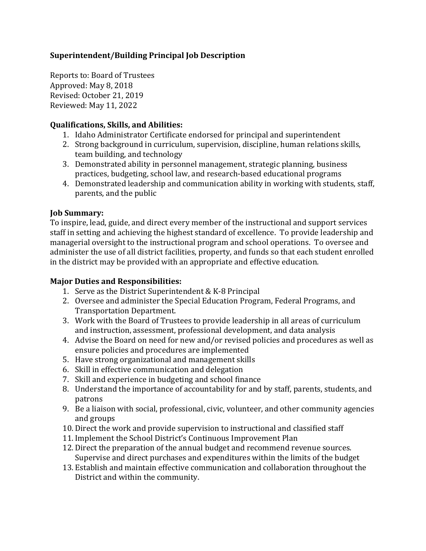# **Superintendent/Building Principal Job Description**

Reports to: Board of Trustees Approved: May 8, 2018 Revised: October 21, 2019 Reviewed: May 11, 2022

## **Qualifications, Skills, and Abilities:**

- 1. Idaho Administrator Certificate endorsed for principal and superintendent
- 2. Strong background in curriculum, supervision, discipline, human relations skills, team building, and technology
- 3. Demonstrated ability in personnel management, strategic planning, business practices, budgeting, school law, and research-based educational programs
- 4. Demonstrated leadership and communication ability in working with students, staff, parents, and the public

## **Job Summary:**

To inspire, lead, guide, and direct every member of the instructional and support services staff in setting and achieving the highest standard of excellence. To provide leadership and managerial oversight to the instructional program and school operations. To oversee and administer the use of all district facilities, property, and funds so that each student enrolled in the district may be provided with an appropriate and effective education.

## **Major Duties and Responsibilities:**

- 1. Serve as the District Superintendent & K-8 Principal
- 2. Oversee and administer the Special Education Program, Federal Programs, and Transportation Department.
- 3. Work with the Board of Trustees to provide leadership in all areas of curriculum and instruction, assessment, professional development, and data analysis
- 4. Advise the Board on need for new and/or revised policies and procedures as well as ensure policies and procedures are implemented
- 5. Have strong organizational and management skills
- 6. Skill in effective communication and delegation
- 7. Skill and experience in budgeting and school finance
- 8. Understand the importance of accountability for and by staff, parents, students, and patrons
- 9. Be a liaison with social, professional, civic, volunteer, and other community agencies and groups
- 10. Direct the work and provide supervision to instructional and classified staff
- 11. Implement the School District's Continuous Improvement Plan
- 12. Direct the preparation of the annual budget and recommend revenue sources. Supervise and direct purchases and expenditures within the limits of the budget
- 13. Establish and maintain effective communication and collaboration throughout the District and within the community.